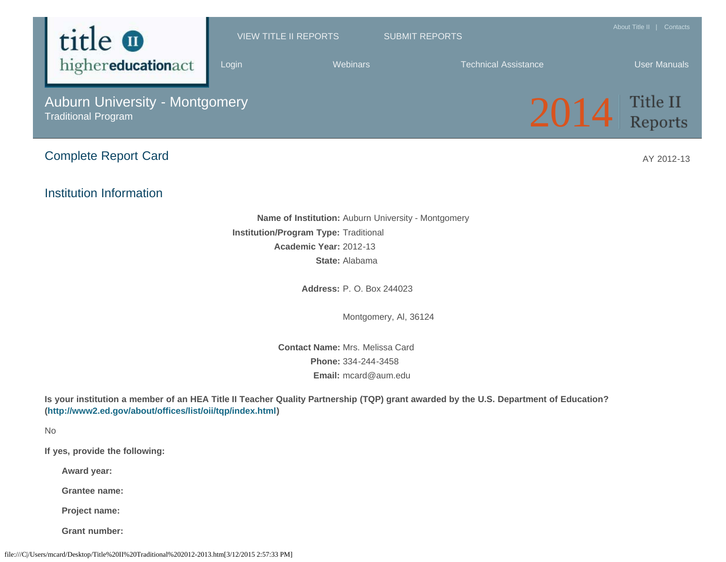

**Grantee name:**

**Project name:**

**Grant number:**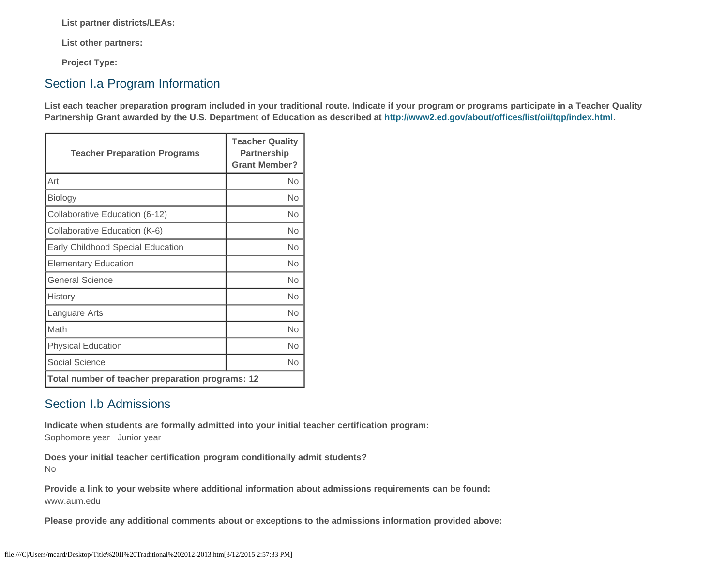**List partner districts/LEAs:**

**List other partners:**

**Project Type:**

## Section I.a Program Information

**List each teacher preparation program included in your traditional route. Indicate if your program or programs participate in a Teacher Quality Partnership Grant awarded by the U.S. Department of Education as described at<http://www2.ed.gov/about/offices/list/oii/tqp/index.html>.**

| <b>Teacher Preparation Programs</b>              | <b>Teacher Quality</b><br>Partnership<br><b>Grant Member?</b> |  |
|--------------------------------------------------|---------------------------------------------------------------|--|
| Art                                              | No                                                            |  |
| Biology                                          | No                                                            |  |
| Collaborative Education (6-12)                   | No                                                            |  |
| Collaborative Education (K-6)                    | Nο                                                            |  |
| Early Childhood Special Education                | <b>No</b>                                                     |  |
| <b>Elementary Education</b>                      | Nο                                                            |  |
| <b>General Science</b>                           | <b>No</b>                                                     |  |
| History                                          | No                                                            |  |
| Languare Arts                                    | No                                                            |  |
| Math                                             | Nο                                                            |  |
| <b>Physical Education</b>                        | No                                                            |  |
| Social Science                                   | No                                                            |  |
| Total number of teacher preparation programs: 12 |                                                               |  |

## Section I.b Admissions

**Indicate when students are formally admitted into your initial teacher certification program:**  Sophomore year Junior year

**Does your initial teacher certification program conditionally admit students?** No

**Provide a link to your website where additional information about admissions requirements can be found:** www.aum.edu

**Please provide any additional comments about or exceptions to the admissions information provided above:**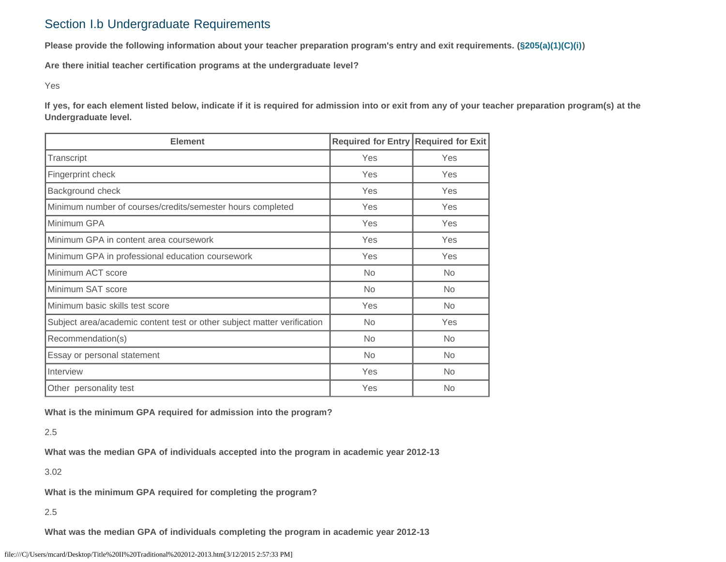## Section I.b Undergraduate Requirements

**Please provide the following information about your teacher preparation program's entry and exit requirements. [\(§205\(a\)\(1\)\(C\)\(i\)](http://frwebgate.access.gpo.gov/cgi-bin/getdoc.cgi?dbname=110_cong_public_laws&docid=f:publ315.110.pdf))**

**Are there initial teacher certification programs at the undergraduate level?**

Yes

**If yes, for each element listed below, indicate if it is required for admission into or exit from any of your teacher preparation program(s) at the Undergraduate level.**

| <b>Element</b>                                                          | Required for Entry Required for Exit |           |
|-------------------------------------------------------------------------|--------------------------------------|-----------|
| Transcript                                                              | Yes                                  | Yes       |
| Fingerprint check                                                       | Yes                                  | Yes       |
| Background check                                                        | Yes                                  | Yes       |
| Minimum number of courses/credits/semester hours completed              | Yes                                  | Yes       |
| Minimum GPA                                                             | Yes                                  | Yes       |
| Minimum GPA in content area coursework                                  | Yes                                  | Yes       |
| Minimum GPA in professional education coursework                        | Yes                                  | Yes       |
| Minimum ACT score                                                       | <b>No</b>                            | <b>No</b> |
| Minimum SAT score                                                       | <b>No</b>                            | No.       |
| Minimum basic skills test score                                         | Yes                                  | <b>No</b> |
| Subject area/academic content test or other subject matter verification | <b>No</b>                            | Yes       |
| Recommendation(s)                                                       | <b>No</b>                            | No.       |
| Essay or personal statement                                             | No                                   | No.       |
| Interview                                                               | Yes                                  | <b>No</b> |
| Other personality test                                                  | Yes                                  | No.       |

**What is the minimum GPA required for admission into the program?**

2.5

**What was the median GPA of individuals accepted into the program in academic year 2012-13**

3.02

**What is the minimum GPA required for completing the program?**

2.5

**What was the median GPA of individuals completing the program in academic year 2012-13**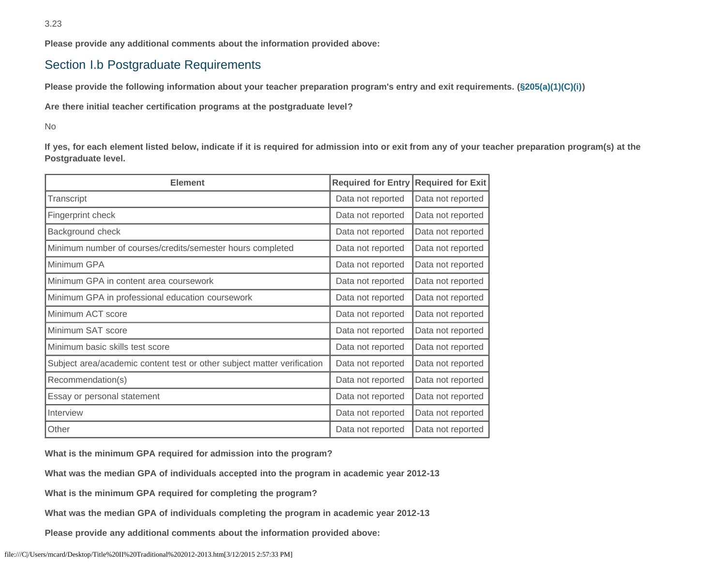**Please provide any additional comments about the information provided above:**

## Section I.b Postgraduate Requirements

**Please provide the following information about your teacher preparation program's entry and exit requirements. [\(§205\(a\)\(1\)\(C\)\(i\)](http://frwebgate.access.gpo.gov/cgi-bin/getdoc.cgi?dbname=110_cong_public_laws&docid=f:publ315.110.pdf))**

**Are there initial teacher certification programs at the postgraduate level?**

No

**If yes, for each element listed below, indicate if it is required for admission into or exit from any of your teacher preparation program(s) at the Postgraduate level.**

| <b>Element</b>                                                          | <b>Required for Entry</b> | <b>Required for Exit</b> |
|-------------------------------------------------------------------------|---------------------------|--------------------------|
| Transcript                                                              | Data not reported         | Data not reported        |
| Fingerprint check                                                       | Data not reported         | Data not reported        |
| Background check                                                        | Data not reported         | Data not reported        |
| Minimum number of courses/credits/semester hours completed              | Data not reported         | Data not reported        |
| Minimum GPA                                                             | Data not reported         | Data not reported        |
| Minimum GPA in content area coursework                                  | Data not reported         | Data not reported        |
| Minimum GPA in professional education coursework                        | Data not reported         | Data not reported        |
| Minimum ACT score                                                       | Data not reported         | Data not reported        |
| Minimum SAT score                                                       | Data not reported         | Data not reported        |
| Minimum basic skills test score                                         | Data not reported         | Data not reported        |
| Subject area/academic content test or other subject matter verification | Data not reported         | Data not reported        |
| Recommendation(s)                                                       | Data not reported         | Data not reported        |
| Essay or personal statement                                             | Data not reported         | Data not reported        |
| Interview                                                               | Data not reported         | Data not reported        |
| Other                                                                   | Data not reported         | Data not reported        |

**What is the minimum GPA required for admission into the program?**

**What was the median GPA of individuals accepted into the program in academic year 2012-13**

**What is the minimum GPA required for completing the program?**

**What was the median GPA of individuals completing the program in academic year 2012-13**

**Please provide any additional comments about the information provided above:**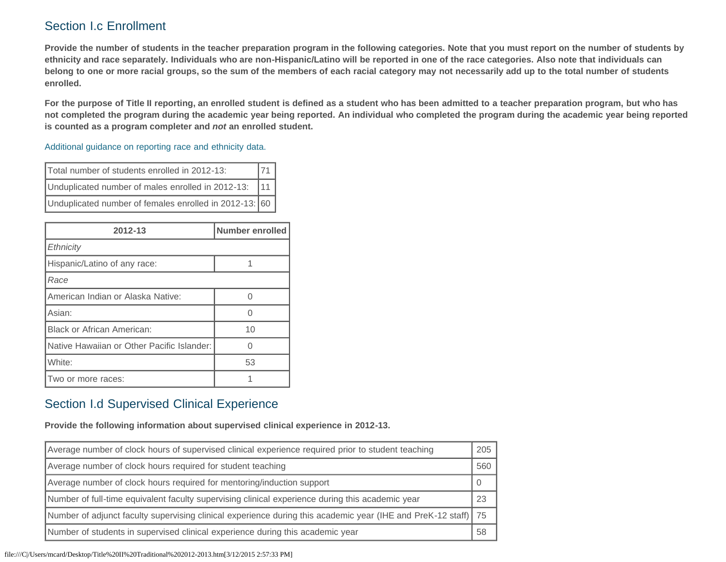# Section I.c Enrollment

**Provide the number of students in the teacher preparation program in the following categories. Note that you must report on the number of students by ethnicity and race separately. Individuals who are non-Hispanic/Latino will be reported in one of the race categories. Also note that individuals can belong to one or more racial groups, so the sum of the members of each racial category may not necessarily add up to the total number of students enrolled.**

**For the purpose of Title II reporting, an enrolled student is defined as a student who has been admitted to a teacher preparation program, but who has not completed the program during the academic year being reported. An individual who completed the program during the academic year being reported is counted as a program completer and** *not* **an enrolled student.**

#### [Additional guidance on reporting race and ethnicity data.](https://title2.ed.gov/Public/TA/Race_ethnicity.pdf)

| Total number of students enrolled in 2012-13:          |  |
|--------------------------------------------------------|--|
| Unduplicated number of males enrolled in 2012-13:      |  |
| Unduplicated number of females enrolled in 2012-13: 60 |  |

| 2012-13                                    | Number enrolled |  |
|--------------------------------------------|-----------------|--|
| Ethnicity                                  |                 |  |
| Hispanic/Latino of any race:               |                 |  |
| Race                                       |                 |  |
| American Indian or Alaska Native:          |                 |  |
| Asian:                                     |                 |  |
| <b>Black or African American:</b>          | 10              |  |
| Native Hawaiian or Other Pacific Islander: |                 |  |
| White:                                     | 53              |  |
| Two or more races:                         |                 |  |

## Section I.d Supervised Clinical Experience

**Provide the following information about supervised clinical experience in 2012-13.**

| Average number of clock hours of supervised clinical experience required prior to student teaching             |     |
|----------------------------------------------------------------------------------------------------------------|-----|
| Average number of clock hours required for student teaching                                                    | 560 |
| Average number of clock hours required for mentoring/induction support                                         |     |
| Number of full-time equivalent faculty supervising clinical experience during this academic year               | 23  |
| Number of adjunct faculty supervising clinical experience during this academic year (IHE and PreK-12 staff) 75 |     |
| Number of students in supervised clinical experience during this academic year                                 | 58  |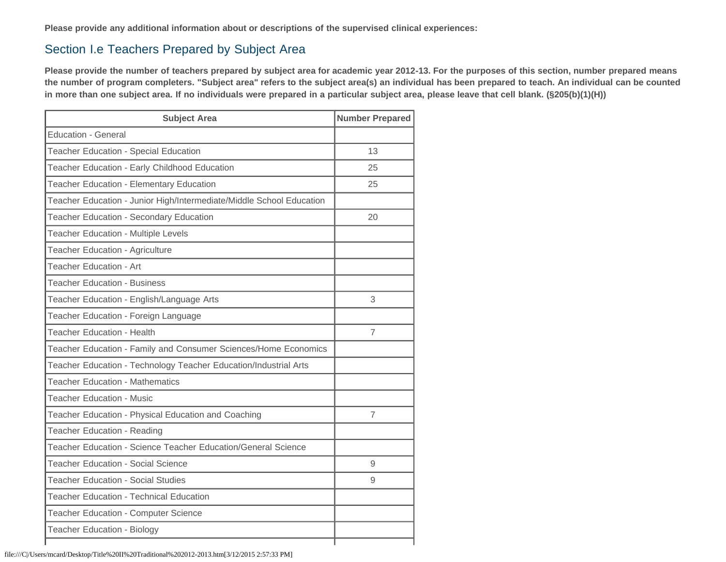**Please provide any additional information about or descriptions of the supervised clinical experiences:**

## Section I.e Teachers Prepared by Subject Area

**Please provide the number of teachers prepared by subject area for academic year 2012-13. For the purposes of this section, number prepared means the number of program completers. "Subject area" refers to the subject area(s) an individual has been prepared to teach. An individual can be counted in more than one subject area. If no individuals were prepared in a particular subject area, please leave that cell blank. (§205(b)(1)(H))**

| <b>Subject Area</b>                                                  | <b>Number Prepared</b> |
|----------------------------------------------------------------------|------------------------|
| <b>Education - General</b>                                           |                        |
| <b>Teacher Education - Special Education</b>                         | 13                     |
| Teacher Education - Early Childhood Education                        | 25                     |
| <b>Teacher Education - Elementary Education</b>                      | 25                     |
| Teacher Education - Junior High/Intermediate/Middle School Education |                        |
| Teacher Education - Secondary Education                              | 20                     |
| Teacher Education - Multiple Levels                                  |                        |
| Teacher Education - Agriculture                                      |                        |
| Teacher Education - Art                                              |                        |
| <b>Teacher Education - Business</b>                                  |                        |
| Teacher Education - English/Language Arts                            | 3                      |
| Teacher Education - Foreign Language                                 |                        |
| <b>Teacher Education - Health</b>                                    | 7                      |
| Teacher Education - Family and Consumer Sciences/Home Economics      |                        |
| Teacher Education - Technology Teacher Education/Industrial Arts     |                        |
| <b>Teacher Education - Mathematics</b>                               |                        |
| <b>Teacher Education - Music</b>                                     |                        |
| Teacher Education - Physical Education and Coaching                  | 7                      |
| <b>Teacher Education - Reading</b>                                   |                        |
| Teacher Education - Science Teacher Education/General Science        |                        |
| <b>Teacher Education - Social Science</b>                            | 9                      |
| <b>Teacher Education - Social Studies</b>                            | 9                      |
| <b>Teacher Education - Technical Education</b>                       |                        |
| <b>Teacher Education - Computer Science</b>                          |                        |
| <b>Teacher Education - Biology</b>                                   |                        |
|                                                                      |                        |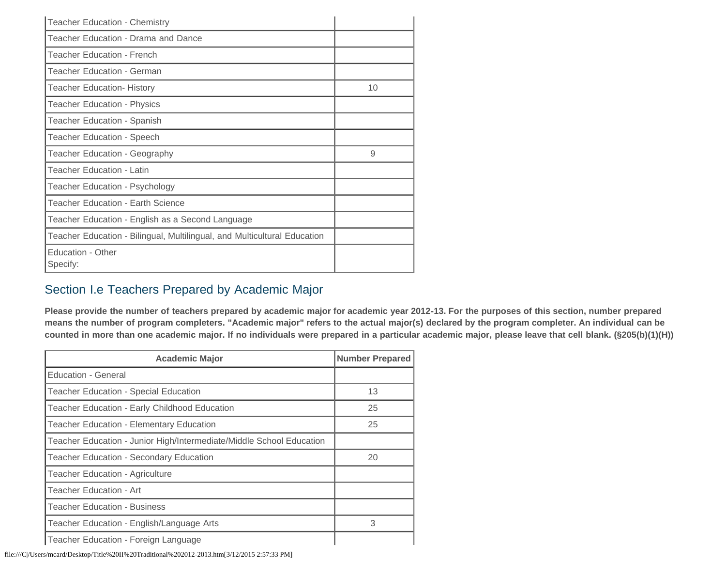| <b>Teacher Education - Chemistry</b>                                     |    |
|--------------------------------------------------------------------------|----|
| Teacher Education - Drama and Dance                                      |    |
| <b>Teacher Education - French</b>                                        |    |
| Teacher Education - German                                               |    |
| <b>Teacher Education- History</b>                                        | 10 |
| <b>Teacher Education - Physics</b>                                       |    |
| Teacher Education - Spanish                                              |    |
| <b>Teacher Education - Speech</b>                                        |    |
| Teacher Education - Geography                                            | 9  |
| <b>Teacher Education - Latin</b>                                         |    |
| Teacher Education - Psychology                                           |    |
| <b>Teacher Education - Earth Science</b>                                 |    |
| Teacher Education - English as a Second Language                         |    |
| Teacher Education - Bilingual, Multilingual, and Multicultural Education |    |
| Education - Other<br>Specify:                                            |    |

## Section I.e Teachers Prepared by Academic Major

**Please provide the number of teachers prepared by academic major for academic year 2012-13. For the purposes of this section, number prepared means the number of program completers. "Academic major" refers to the actual major(s) declared by the program completer. An individual can be counted in more than one academic major. If no individuals were prepared in a particular academic major, please leave that cell blank. (§205(b)(1)(H))**

| <b>Academic Major</b>                                                | <b>Number Prepared</b> |  |
|----------------------------------------------------------------------|------------------------|--|
| Education - General                                                  |                        |  |
| Teacher Education - Special Education                                | 13                     |  |
| Teacher Education - Early Childhood Education                        | 25                     |  |
| <b>Teacher Education - Elementary Education</b>                      | 25                     |  |
| Teacher Education - Junior High/Intermediate/Middle School Education |                        |  |
| Teacher Education - Secondary Education                              | 20                     |  |
| <b>Teacher Education - Agriculture</b>                               |                        |  |
| Teacher Education - Art                                              |                        |  |
| <b>Teacher Education - Business</b>                                  |                        |  |
| Teacher Education - English/Language Arts                            | 3                      |  |
| Teacher Education - Foreign Language                                 |                        |  |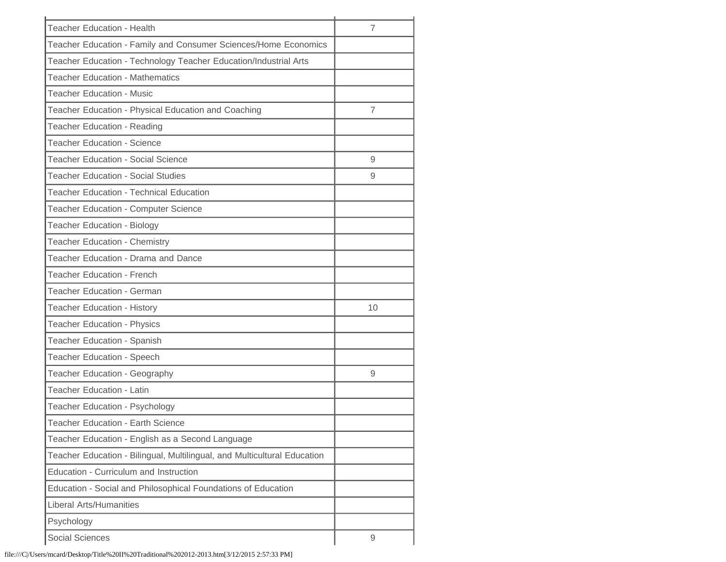| <b>Teacher Education - Health</b><br>$\overline{7}$<br>Teacher Education - Family and Consumer Sciences/Home Economics<br>Teacher Education - Technology Teacher Education/Industrial Arts<br><b>Teacher Education - Mathematics</b><br><b>Teacher Education - Music</b><br>Teacher Education - Physical Education and Coaching<br>$\overline{7}$<br>Teacher Education - Reading<br><b>Teacher Education - Science</b><br><b>Teacher Education - Social Science</b><br>9<br><b>Teacher Education - Social Studies</b><br>9<br><b>Teacher Education - Technical Education</b><br>Teacher Education - Computer Science<br><b>Teacher Education - Biology</b><br>Teacher Education - Chemistry<br>Teacher Education - Drama and Dance<br><b>Teacher Education - French</b><br><b>Teacher Education - German</b><br><b>Teacher Education - History</b><br>10<br><b>Teacher Education - Physics</b><br>Teacher Education - Spanish<br>Teacher Education - Speech<br>Teacher Education - Geography<br>9<br><b>Teacher Education - Latin</b><br>Teacher Education - Psychology<br><b>Teacher Education - Earth Science</b><br>Teacher Education - English as a Second Language<br>Teacher Education - Bilingual, Multilingual, and Multicultural Education<br>Education - Curriculum and Instruction<br>Education - Social and Philosophical Foundations of Education<br><b>Liberal Arts/Humanities</b><br>Psychology<br><b>Social Sciences</b><br>9 |  |
|-----------------------------------------------------------------------------------------------------------------------------------------------------------------------------------------------------------------------------------------------------------------------------------------------------------------------------------------------------------------------------------------------------------------------------------------------------------------------------------------------------------------------------------------------------------------------------------------------------------------------------------------------------------------------------------------------------------------------------------------------------------------------------------------------------------------------------------------------------------------------------------------------------------------------------------------------------------------------------------------------------------------------------------------------------------------------------------------------------------------------------------------------------------------------------------------------------------------------------------------------------------------------------------------------------------------------------------------------------------------------------------------------------------------------------------------------|--|
|                                                                                                                                                                                                                                                                                                                                                                                                                                                                                                                                                                                                                                                                                                                                                                                                                                                                                                                                                                                                                                                                                                                                                                                                                                                                                                                                                                                                                                               |  |
|                                                                                                                                                                                                                                                                                                                                                                                                                                                                                                                                                                                                                                                                                                                                                                                                                                                                                                                                                                                                                                                                                                                                                                                                                                                                                                                                                                                                                                               |  |
|                                                                                                                                                                                                                                                                                                                                                                                                                                                                                                                                                                                                                                                                                                                                                                                                                                                                                                                                                                                                                                                                                                                                                                                                                                                                                                                                                                                                                                               |  |
|                                                                                                                                                                                                                                                                                                                                                                                                                                                                                                                                                                                                                                                                                                                                                                                                                                                                                                                                                                                                                                                                                                                                                                                                                                                                                                                                                                                                                                               |  |
|                                                                                                                                                                                                                                                                                                                                                                                                                                                                                                                                                                                                                                                                                                                                                                                                                                                                                                                                                                                                                                                                                                                                                                                                                                                                                                                                                                                                                                               |  |
|                                                                                                                                                                                                                                                                                                                                                                                                                                                                                                                                                                                                                                                                                                                                                                                                                                                                                                                                                                                                                                                                                                                                                                                                                                                                                                                                                                                                                                               |  |
|                                                                                                                                                                                                                                                                                                                                                                                                                                                                                                                                                                                                                                                                                                                                                                                                                                                                                                                                                                                                                                                                                                                                                                                                                                                                                                                                                                                                                                               |  |
|                                                                                                                                                                                                                                                                                                                                                                                                                                                                                                                                                                                                                                                                                                                                                                                                                                                                                                                                                                                                                                                                                                                                                                                                                                                                                                                                                                                                                                               |  |
|                                                                                                                                                                                                                                                                                                                                                                                                                                                                                                                                                                                                                                                                                                                                                                                                                                                                                                                                                                                                                                                                                                                                                                                                                                                                                                                                                                                                                                               |  |
|                                                                                                                                                                                                                                                                                                                                                                                                                                                                                                                                                                                                                                                                                                                                                                                                                                                                                                                                                                                                                                                                                                                                                                                                                                                                                                                                                                                                                                               |  |
|                                                                                                                                                                                                                                                                                                                                                                                                                                                                                                                                                                                                                                                                                                                                                                                                                                                                                                                                                                                                                                                                                                                                                                                                                                                                                                                                                                                                                                               |  |
|                                                                                                                                                                                                                                                                                                                                                                                                                                                                                                                                                                                                                                                                                                                                                                                                                                                                                                                                                                                                                                                                                                                                                                                                                                                                                                                                                                                                                                               |  |
|                                                                                                                                                                                                                                                                                                                                                                                                                                                                                                                                                                                                                                                                                                                                                                                                                                                                                                                                                                                                                                                                                                                                                                                                                                                                                                                                                                                                                                               |  |
|                                                                                                                                                                                                                                                                                                                                                                                                                                                                                                                                                                                                                                                                                                                                                                                                                                                                                                                                                                                                                                                                                                                                                                                                                                                                                                                                                                                                                                               |  |
|                                                                                                                                                                                                                                                                                                                                                                                                                                                                                                                                                                                                                                                                                                                                                                                                                                                                                                                                                                                                                                                                                                                                                                                                                                                                                                                                                                                                                                               |  |
|                                                                                                                                                                                                                                                                                                                                                                                                                                                                                                                                                                                                                                                                                                                                                                                                                                                                                                                                                                                                                                                                                                                                                                                                                                                                                                                                                                                                                                               |  |
|                                                                                                                                                                                                                                                                                                                                                                                                                                                                                                                                                                                                                                                                                                                                                                                                                                                                                                                                                                                                                                                                                                                                                                                                                                                                                                                                                                                                                                               |  |
|                                                                                                                                                                                                                                                                                                                                                                                                                                                                                                                                                                                                                                                                                                                                                                                                                                                                                                                                                                                                                                                                                                                                                                                                                                                                                                                                                                                                                                               |  |
|                                                                                                                                                                                                                                                                                                                                                                                                                                                                                                                                                                                                                                                                                                                                                                                                                                                                                                                                                                                                                                                                                                                                                                                                                                                                                                                                                                                                                                               |  |
|                                                                                                                                                                                                                                                                                                                                                                                                                                                                                                                                                                                                                                                                                                                                                                                                                                                                                                                                                                                                                                                                                                                                                                                                                                                                                                                                                                                                                                               |  |
|                                                                                                                                                                                                                                                                                                                                                                                                                                                                                                                                                                                                                                                                                                                                                                                                                                                                                                                                                                                                                                                                                                                                                                                                                                                                                                                                                                                                                                               |  |
|                                                                                                                                                                                                                                                                                                                                                                                                                                                                                                                                                                                                                                                                                                                                                                                                                                                                                                                                                                                                                                                                                                                                                                                                                                                                                                                                                                                                                                               |  |
|                                                                                                                                                                                                                                                                                                                                                                                                                                                                                                                                                                                                                                                                                                                                                                                                                                                                                                                                                                                                                                                                                                                                                                                                                                                                                                                                                                                                                                               |  |
|                                                                                                                                                                                                                                                                                                                                                                                                                                                                                                                                                                                                                                                                                                                                                                                                                                                                                                                                                                                                                                                                                                                                                                                                                                                                                                                                                                                                                                               |  |
|                                                                                                                                                                                                                                                                                                                                                                                                                                                                                                                                                                                                                                                                                                                                                                                                                                                                                                                                                                                                                                                                                                                                                                                                                                                                                                                                                                                                                                               |  |
|                                                                                                                                                                                                                                                                                                                                                                                                                                                                                                                                                                                                                                                                                                                                                                                                                                                                                                                                                                                                                                                                                                                                                                                                                                                                                                                                                                                                                                               |  |
|                                                                                                                                                                                                                                                                                                                                                                                                                                                                                                                                                                                                                                                                                                                                                                                                                                                                                                                                                                                                                                                                                                                                                                                                                                                                                                                                                                                                                                               |  |
|                                                                                                                                                                                                                                                                                                                                                                                                                                                                                                                                                                                                                                                                                                                                                                                                                                                                                                                                                                                                                                                                                                                                                                                                                                                                                                                                                                                                                                               |  |
|                                                                                                                                                                                                                                                                                                                                                                                                                                                                                                                                                                                                                                                                                                                                                                                                                                                                                                                                                                                                                                                                                                                                                                                                                                                                                                                                                                                                                                               |  |
|                                                                                                                                                                                                                                                                                                                                                                                                                                                                                                                                                                                                                                                                                                                                                                                                                                                                                                                                                                                                                                                                                                                                                                                                                                                                                                                                                                                                                                               |  |
|                                                                                                                                                                                                                                                                                                                                                                                                                                                                                                                                                                                                                                                                                                                                                                                                                                                                                                                                                                                                                                                                                                                                                                                                                                                                                                                                                                                                                                               |  |
|                                                                                                                                                                                                                                                                                                                                                                                                                                                                                                                                                                                                                                                                                                                                                                                                                                                                                                                                                                                                                                                                                                                                                                                                                                                                                                                                                                                                                                               |  |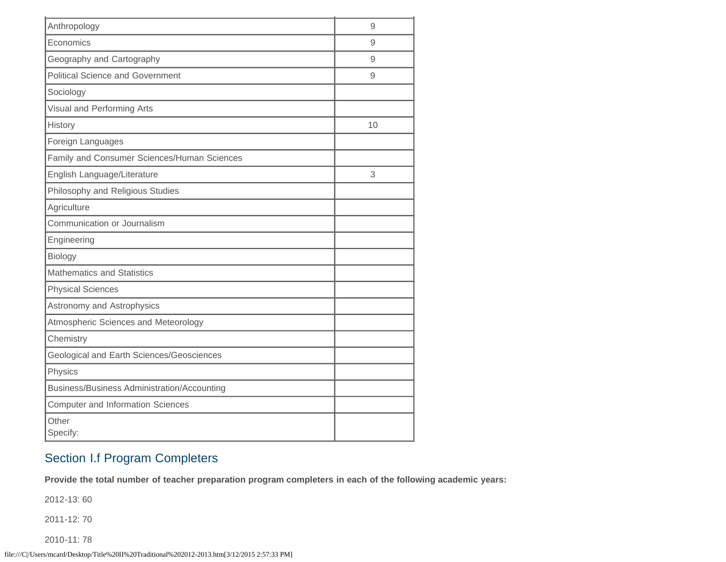| Anthropology                                | 9  |
|---------------------------------------------|----|
| Economics                                   | 9  |
| Geography and Cartography                   | 9  |
| <b>Political Science and Government</b>     | 9  |
| Sociology                                   |    |
| Visual and Performing Arts                  |    |
| History                                     | 10 |
| Foreign Languages                           |    |
| Family and Consumer Sciences/Human Sciences |    |
| English Language/Literature                 | 3  |
| Philosophy and Religious Studies            |    |
| Agriculture                                 |    |
| Communication or Journalism                 |    |
| Engineering                                 |    |
| Biology                                     |    |
| <b>Mathematics and Statistics</b>           |    |
| <b>Physical Sciences</b>                    |    |
| Astronomy and Astrophysics                  |    |
| Atmospheric Sciences and Meteorology        |    |
| Chemistry                                   |    |
| Geological and Earth Sciences/Geosciences   |    |
| Physics                                     |    |
| Business/Business Administration/Accounting |    |
| <b>Computer and Information Sciences</b>    |    |
| Other<br>Specify:                           |    |

# Section I.f Program Completers

**Provide the total number of teacher preparation program completers in each of the following academic years:**

2012-13: 60

2011-12: 70

2010-11: 78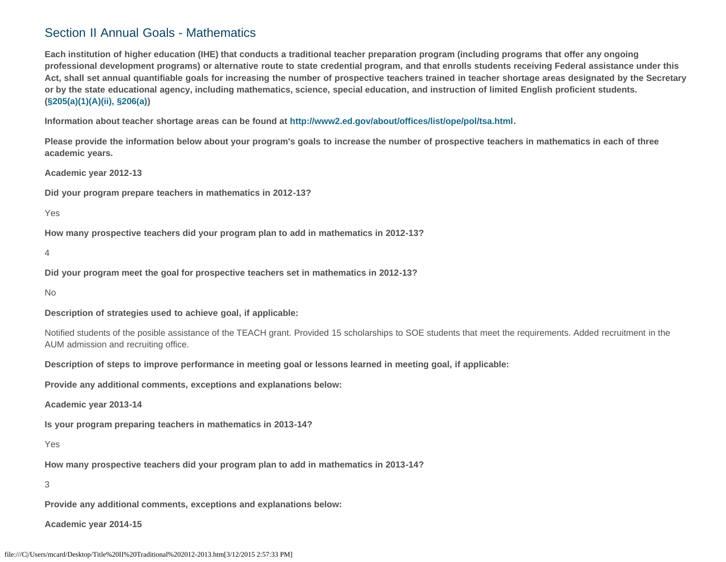## Section II Annual Goals - Mathematics

**Each institution of higher education (IHE) that conducts a traditional teacher preparation program (including programs that offer any ongoing professional development programs) or alternative route to state credential program, and that enrolls students receiving Federal assistance under this Act, shall set annual quantifiable goals for increasing the number of prospective teachers trained in teacher shortage areas designated by the Secretary or by the state educational agency, including mathematics, science, special education, and instruction of limited English proficient students. [\(§205\(a\)\(1\)\(A\)\(ii\), §206\(a\)\)](http://frwebgate.access.gpo.gov/cgi-bin/getdoc.cgi?dbname=110_cong_public_laws&docid=f:publ315.110.pdf)**

**Information about teacher shortage areas can be found at<http://www2.ed.gov/about/offices/list/ope/pol/tsa.html>.**

**Please provide the information below about your program's goals to increase the number of prospective teachers in mathematics in each of three academic years.**

**Academic year 2012-13**

**Did your program prepare teachers in mathematics in 2012-13?**

Yes

**How many prospective teachers did your program plan to add in mathematics in 2012-13?**

4

**Did your program meet the goal for prospective teachers set in mathematics in 2012-13?**

No

**Description of strategies used to achieve goal, if applicable:**

Notified students of the posible assistance of the TEACH grant. Provided 15 scholarships to SOE students that meet the requirements. Added recruitment in the AUM admission and recruiting office.

**Description of steps to improve performance in meeting goal or lessons learned in meeting goal, if applicable:**

**Provide any additional comments, exceptions and explanations below:**

**Academic year 2013-14**

**Is your program preparing teachers in mathematics in 2013-14?**

Yes

**How many prospective teachers did your program plan to add in mathematics in 2013-14?**

3

**Provide any additional comments, exceptions and explanations below:**

**Academic year 2014-15**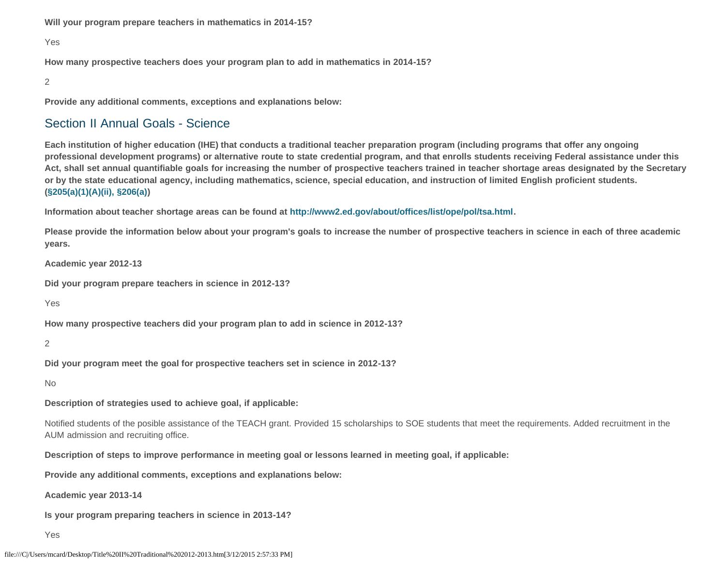**Will your program prepare teachers in mathematics in 2014-15?**

#### Yes

**How many prospective teachers does your program plan to add in mathematics in 2014-15?**

#### 2

**Provide any additional comments, exceptions and explanations below:**

### Section II Annual Goals - Science

**Each institution of higher education (IHE) that conducts a traditional teacher preparation program (including programs that offer any ongoing professional development programs) or alternative route to state credential program, and that enrolls students receiving Federal assistance under this Act, shall set annual quantifiable goals for increasing the number of prospective teachers trained in teacher shortage areas designated by the Secretary or by the state educational agency, including mathematics, science, special education, and instruction of limited English proficient students. [\(§205\(a\)\(1\)\(A\)\(ii\), §206\(a\)\)](http://frwebgate.access.gpo.gov/cgi-bin/getdoc.cgi?dbname=110_cong_public_laws&docid=f:publ315.110.pdf)**

**Information about teacher shortage areas can be found at<http://www2.ed.gov/about/offices/list/ope/pol/tsa.html>.**

**Please provide the information below about your program's goals to increase the number of prospective teachers in science in each of three academic years.**

**Academic year 2012-13**

**Did your program prepare teachers in science in 2012-13?**

Yes

**How many prospective teachers did your program plan to add in science in 2012-13?**

2

**Did your program meet the goal for prospective teachers set in science in 2012-13?**

No

**Description of strategies used to achieve goal, if applicable:**

Notified students of the posible assistance of the TEACH grant. Provided 15 scholarships to SOE students that meet the requirements. Added recruitment in the AUM admission and recruiting office.

**Description of steps to improve performance in meeting goal or lessons learned in meeting goal, if applicable:**

**Provide any additional comments, exceptions and explanations below:**

**Academic year 2013-14**

**Is your program preparing teachers in science in 2013-14?**

Yes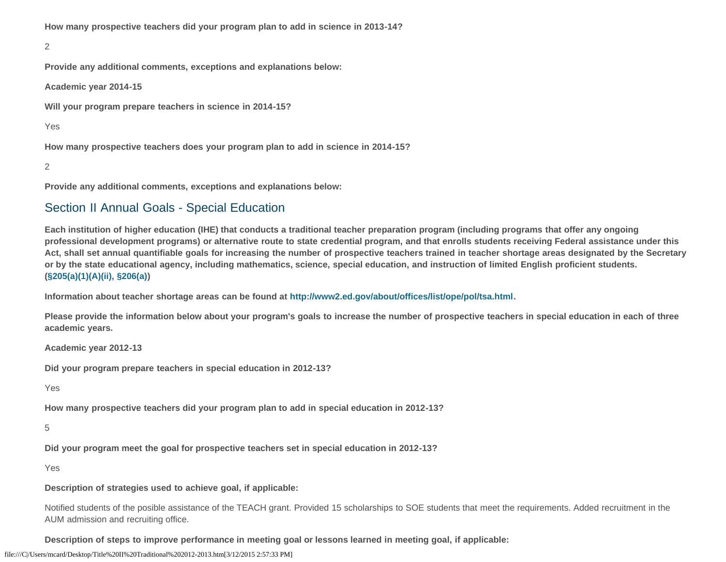**How many prospective teachers did your program plan to add in science in 2013-14?**

2

**Provide any additional comments, exceptions and explanations below:**

**Academic year 2014-15**

**Will your program prepare teachers in science in 2014-15?**

Yes

**How many prospective teachers does your program plan to add in science in 2014-15?**

2

**Provide any additional comments, exceptions and explanations below:**

## Section II Annual Goals - Special Education

**Each institution of higher education (IHE) that conducts a traditional teacher preparation program (including programs that offer any ongoing professional development programs) or alternative route to state credential program, and that enrolls students receiving Federal assistance under this Act, shall set annual quantifiable goals for increasing the number of prospective teachers trained in teacher shortage areas designated by the Secretary or by the state educational agency, including mathematics, science, special education, and instruction of limited English proficient students. [\(§205\(a\)\(1\)\(A\)\(ii\), §206\(a\)\)](http://frwebgate.access.gpo.gov/cgi-bin/getdoc.cgi?dbname=110_cong_public_laws&docid=f:publ315.110.pdf)**

**Information about teacher shortage areas can be found at<http://www2.ed.gov/about/offices/list/ope/pol/tsa.html>.**

**Please provide the information below about your program's goals to increase the number of prospective teachers in special education in each of three academic years.**

**Academic year 2012-13**

**Did your program prepare teachers in special education in 2012-13?**

Yes

**How many prospective teachers did your program plan to add in special education in 2012-13?**

5

**Did your program meet the goal for prospective teachers set in special education in 2012-13?**

Yes

**Description of strategies used to achieve goal, if applicable:**

Notified students of the posible assistance of the TEACH grant. Provided 15 scholarships to SOE students that meet the requirements. Added recruitment in the AUM admission and recruiting office.

**Description of steps to improve performance in meeting goal or lessons learned in meeting goal, if applicable:**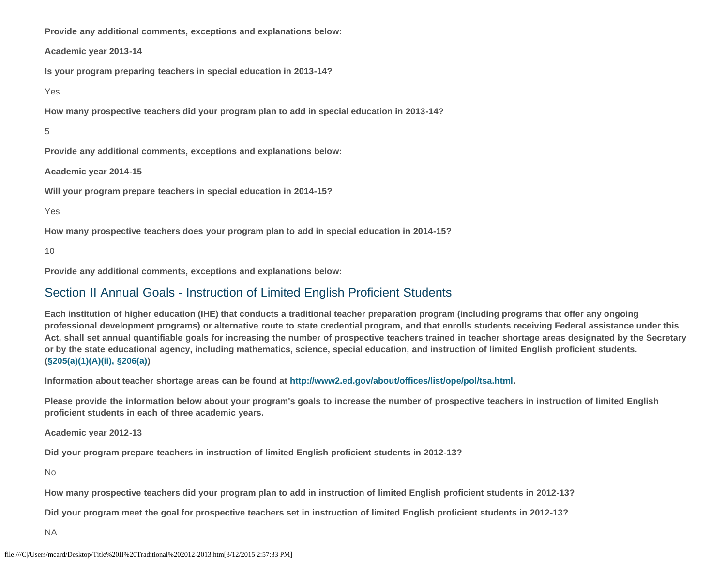**Provide any additional comments, exceptions and explanations below:**

**Academic year 2013-14**

**Is your program preparing teachers in special education in 2013-14?**

Yes

**How many prospective teachers did your program plan to add in special education in 2013-14?**

5

**Provide any additional comments, exceptions and explanations below:**

**Academic year 2014-15**

**Will your program prepare teachers in special education in 2014-15?**

Yes

**How many prospective teachers does your program plan to add in special education in 2014-15?**

10

**Provide any additional comments, exceptions and explanations below:**

## Section II Annual Goals - Instruction of Limited English Proficient Students

**Each institution of higher education (IHE) that conducts a traditional teacher preparation program (including programs that offer any ongoing professional development programs) or alternative route to state credential program, and that enrolls students receiving Federal assistance under this Act, shall set annual quantifiable goals for increasing the number of prospective teachers trained in teacher shortage areas designated by the Secretary or by the state educational agency, including mathematics, science, special education, and instruction of limited English proficient students. [\(§205\(a\)\(1\)\(A\)\(ii\), §206\(a\)\)](http://frwebgate.access.gpo.gov/cgi-bin/getdoc.cgi?dbname=110_cong_public_laws&docid=f:publ315.110.pdf)**

**Information about teacher shortage areas can be found at<http://www2.ed.gov/about/offices/list/ope/pol/tsa.html>.**

**Please provide the information below about your program's goals to increase the number of prospective teachers in instruction of limited English proficient students in each of three academic years.**

**Academic year 2012-13**

**Did your program prepare teachers in instruction of limited English proficient students in 2012-13?**

No

**How many prospective teachers did your program plan to add in instruction of limited English proficient students in 2012-13?**

**Did your program meet the goal for prospective teachers set in instruction of limited English proficient students in 2012-13?**

NA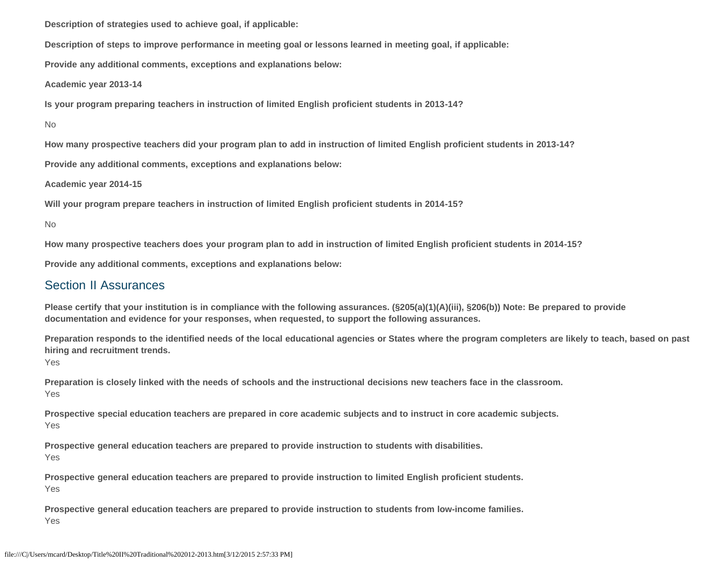**Description of strategies used to achieve goal, if applicable:**

**Description of steps to improve performance in meeting goal or lessons learned in meeting goal, if applicable:**

**Provide any additional comments, exceptions and explanations below:**

**Academic year 2013-14**

**Is your program preparing teachers in instruction of limited English proficient students in 2013-14?**

No

**How many prospective teachers did your program plan to add in instruction of limited English proficient students in 2013-14?**

**Provide any additional comments, exceptions and explanations below:**

**Academic year 2014-15**

**Will your program prepare teachers in instruction of limited English proficient students in 2014-15?**

No

**How many prospective teachers does your program plan to add in instruction of limited English proficient students in 2014-15?**

**Provide any additional comments, exceptions and explanations below:**

## Section II Assurances

**Please certify that your institution is in compliance with the following assurances. (§205(a)(1)(A)(iii), §206(b)) Note: Be prepared to provide documentation and evidence for your responses, when requested, to support the following assurances.**

**Preparation responds to the identified needs of the local educational agencies or States where the program completers are likely to teach, based on past hiring and recruitment trends.**

Yes

**Preparation is closely linked with the needs of schools and the instructional decisions new teachers face in the classroom.**  Yes

**Prospective special education teachers are prepared in core academic subjects and to instruct in core academic subjects.** Yes

**Prospective general education teachers are prepared to provide instruction to students with disabilities.** Yes

**Prospective general education teachers are prepared to provide instruction to limited English proficient students.**  Yes

**Prospective general education teachers are prepared to provide instruction to students from low-income families.** Yes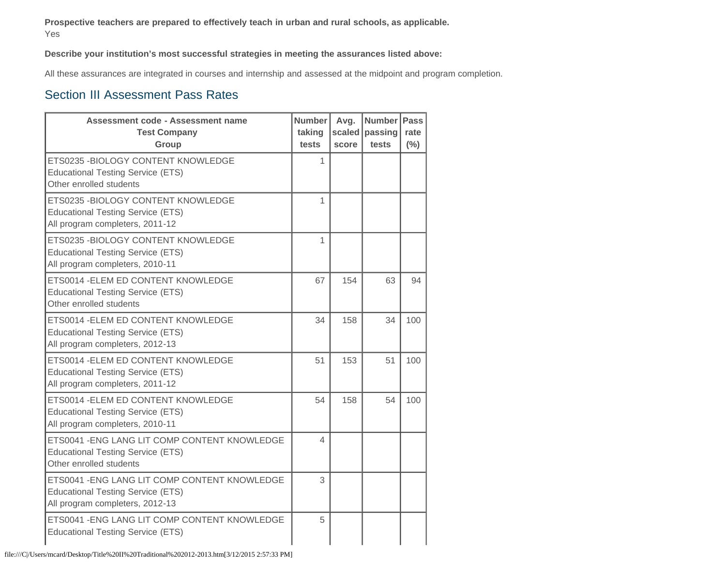**Prospective teachers are prepared to effectively teach in urban and rural schools, as applicable.** Yes

**Describe your institution's most successful strategies in meeting the assurances listed above:**

All these assurances are integrated in courses and internship and assessed at the midpoint and program completion.

### Section III Assessment Pass Rates

| <b>Assessment code - Assessment name</b><br><b>Test Company</b><br>Group                                                     | <b>Number</b><br>taking<br>tests | Avg.<br>score | <b>Number</b><br>scaled passing<br>tests | <b>Pass</b><br>rate<br>(%) |
|------------------------------------------------------------------------------------------------------------------------------|----------------------------------|---------------|------------------------------------------|----------------------------|
| ETS0235 - BIOLOGY CONTENT KNOWLEDGE<br><b>Educational Testing Service (ETS)</b><br>Other enrolled students                   | 1                                |               |                                          |                            |
| ETS0235 - BIOLOGY CONTENT KNOWLEDGE<br><b>Educational Testing Service (ETS)</b><br>All program completers, 2011-12           | 1                                |               |                                          |                            |
| ETS0235 - BIOLOGY CONTENT KNOWLEDGE<br><b>Educational Testing Service (ETS)</b><br>All program completers, 2010-11           | 1                                |               |                                          |                            |
| ETS0014 - ELEM ED CONTENT KNOWLEDGE<br><b>Educational Testing Service (ETS)</b><br>Other enrolled students                   | 67                               | 154           | 63                                       | 94                         |
| ETS0014 - ELEM ED CONTENT KNOWLEDGE<br><b>Educational Testing Service (ETS)</b><br>All program completers, 2012-13           | 34                               | 158           | 34                                       | 100                        |
| ETS0014 - ELEM ED CONTENT KNOWLEDGE<br><b>Educational Testing Service (ETS)</b><br>All program completers, 2011-12           | 51                               | 153           | 51                                       | 100                        |
| ETS0014 - ELEM ED CONTENT KNOWLEDGE<br><b>Educational Testing Service (ETS)</b><br>All program completers, 2010-11           | 54                               | 158           | 54                                       | 100                        |
| ETS0041 - ENG LANG LIT COMP CONTENT KNOWLEDGE<br><b>Educational Testing Service (ETS)</b><br>Other enrolled students         | 4                                |               |                                          |                            |
| ETS0041 - ENG LANG LIT COMP CONTENT KNOWLEDGE<br><b>Educational Testing Service (ETS)</b><br>All program completers, 2012-13 | 3                                |               |                                          |                            |
| ETS0041 - ENG LANG LIT COMP CONTENT KNOWLEDGE<br><b>Educational Testing Service (ETS)</b>                                    | 5                                |               |                                          |                            |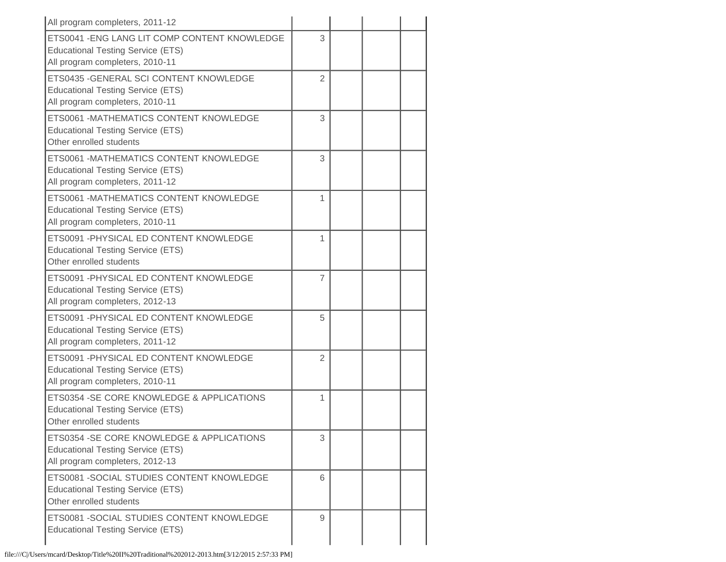| All program completers, 2011-12                                                                                              |                |  |  |
|------------------------------------------------------------------------------------------------------------------------------|----------------|--|--|
| ETS0041 - ENG LANG LIT COMP CONTENT KNOWLEDGE<br><b>Educational Testing Service (ETS)</b><br>All program completers, 2010-11 | 3              |  |  |
| ETS0435 - GENERAL SCI CONTENT KNOWLEDGE<br><b>Educational Testing Service (ETS)</b><br>All program completers, 2010-11       | $\overline{2}$ |  |  |
| ETS0061 -MATHEMATICS CONTENT KNOWLEDGE<br><b>Educational Testing Service (ETS)</b><br>Other enrolled students                | 3              |  |  |
| ETS0061 -MATHEMATICS CONTENT KNOWLEDGE<br><b>Educational Testing Service (ETS)</b><br>All program completers, 2011-12        | 3              |  |  |
| ETS0061 -MATHEMATICS CONTENT KNOWLEDGE<br><b>Educational Testing Service (ETS)</b><br>All program completers, 2010-11        | 1              |  |  |
| ETS0091 - PHYSICAL ED CONTENT KNOWLEDGE<br><b>Educational Testing Service (ETS)</b><br>Other enrolled students               | 1              |  |  |
| ETS0091 - PHYSICAL ED CONTENT KNOWLEDGE<br><b>Educational Testing Service (ETS)</b><br>All program completers, 2012-13       | $\overline{7}$ |  |  |
| ETS0091 - PHYSICAL ED CONTENT KNOWLEDGE<br><b>Educational Testing Service (ETS)</b><br>All program completers, 2011-12       | 5              |  |  |
| ETS0091 - PHYSICAL ED CONTENT KNOWLEDGE<br><b>Educational Testing Service (ETS)</b><br>All program completers, 2010-11       | 2              |  |  |
| ETS0354 - SE CORE KNOWLEDGE & APPLICATIONS<br><b>Educational Testing Service (ETS)</b><br>Other enrolled students            | 1              |  |  |
| ETS0354 - SE CORE KNOWLEDGE & APPLICATIONS<br><b>Educational Testing Service (ETS)</b><br>All program completers, 2012-13    | 3              |  |  |
| ETS0081 - SOCIAL STUDIES CONTENT KNOWLEDGE<br><b>Educational Testing Service (ETS)</b><br>Other enrolled students            | 6              |  |  |
| ETS0081 - SOCIAL STUDIES CONTENT KNOWLEDGE<br><b>Educational Testing Service (ETS)</b>                                       | 9              |  |  |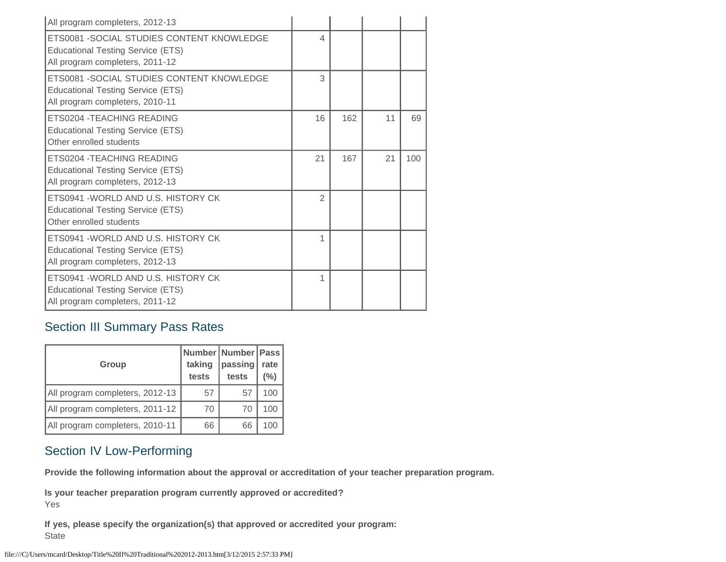| All program completers, 2012-13                                                                                           |                |     |    |     |
|---------------------------------------------------------------------------------------------------------------------------|----------------|-----|----|-----|
| ETS0081 - SOCIAL STUDIES CONTENT KNOWLEDGE<br><b>Educational Testing Service (ETS)</b><br>All program completers, 2011-12 | 4              |     |    |     |
| ETS0081 - SOCIAL STUDIES CONTENT KNOWLEDGE<br><b>Educational Testing Service (ETS)</b><br>All program completers, 2010-11 | 3              |     |    |     |
| <b>ETS0204 - TEACHING READING</b><br><b>Educational Testing Service (ETS)</b><br>Other enrolled students                  | 16             | 162 | 11 | 69  |
| ETS0204 - TEACHING READING<br><b>Educational Testing Service (ETS)</b><br>All program completers, 2012-13                 | 21             | 167 | 21 | 100 |
| ETS0941 - WORLD AND U.S. HISTORY CK<br><b>Educational Testing Service (ETS)</b><br>Other enrolled students                | $\mathfrak{D}$ |     |    |     |
| ETS0941 - WORLD AND U.S. HISTORY CK<br><b>Educational Testing Service (ETS)</b><br>All program completers, 2012-13        | 1              |     |    |     |
| ETS0941 - WORLD AND U.S. HISTORY CK<br><b>Educational Testing Service (ETS)</b><br>All program completers, 2011-12        | 1              |     |    |     |

# Section III Summary Pass Rates

| <b>Group</b>                    | taking<br>tests | Number Number Pass<br>passing<br>tests | rate<br>(%) |
|---------------------------------|-----------------|----------------------------------------|-------------|
| All program completers, 2012-13 | 57              | 57                                     | 100         |
| All program completers, 2011-12 | 70              | 70                                     | 100         |
| All program completers, 2010-11 | 66              | 66                                     | 100         |

## Section IV Low-Performing

**Provide the following information about the approval or accreditation of your teacher preparation program.**

**Is your teacher preparation program currently approved or accredited?** Yes

**If yes, please specify the organization(s) that approved or accredited your program: State**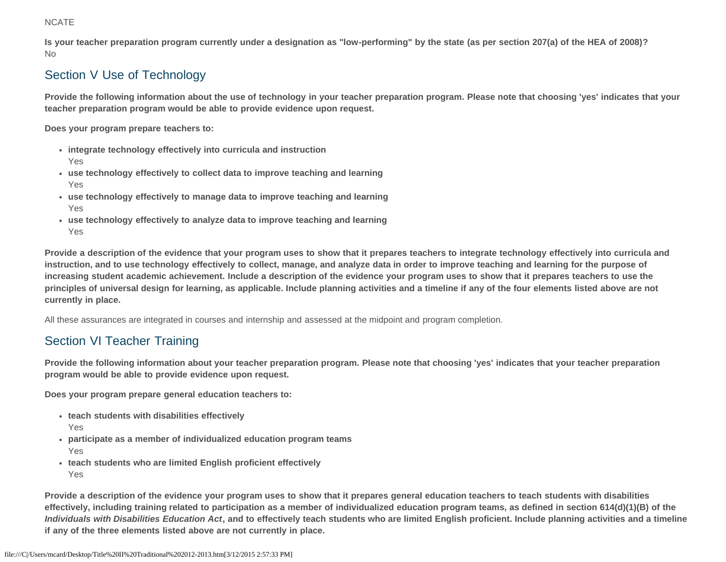#### **NCATE**

**Is your teacher preparation program currently under a designation as "low-performing" by the state (as per section 207(a) of the HEA of 2008)?** No

# Section V Use of Technology

**Provide the following information about the use of technology in your teacher preparation program. Please note that choosing 'yes' indicates that your teacher preparation program would be able to provide evidence upon request.**

**Does your program prepare teachers to:**

- **integrate technology effectively into curricula and instruction** Yes
- **use technology effectively to collect data to improve teaching and learning** Yes
- **use technology effectively to manage data to improve teaching and learning** Yes
- **use technology effectively to analyze data to improve teaching and learning** Yes

**Provide a description of the evidence that your program uses to show that it prepares teachers to integrate technology effectively into curricula and instruction, and to use technology effectively to collect, manage, and analyze data in order to improve teaching and learning for the purpose of increasing student academic achievement. Include a description of the evidence your program uses to show that it prepares teachers to use the principles of universal design for learning, as applicable. Include planning activities and a timeline if any of the four elements listed above are not currently in place.**

All these assurances are integrated in courses and internship and assessed at the midpoint and program completion.

# Section VI Teacher Training

**Provide the following information about your teacher preparation program. Please note that choosing 'yes' indicates that your teacher preparation program would be able to provide evidence upon request.**

**Does your program prepare general education teachers to:**

- **teach students with disabilities effectively**
	- Yes
- **participate as a member of individualized education program teams** Yes
- **teach students who are limited English proficient effectively** Yes

**Provide a description of the evidence your program uses to show that it prepares general education teachers to teach students with disabilities effectively, including training related to participation as a member of individualized education program teams, as defined in section 614(d)(1)(B) of the** *Individuals with Disabilities Education Act***, and to effectively teach students who are limited English proficient. Include planning activities and a timeline if any of the three elements listed above are not currently in place.**